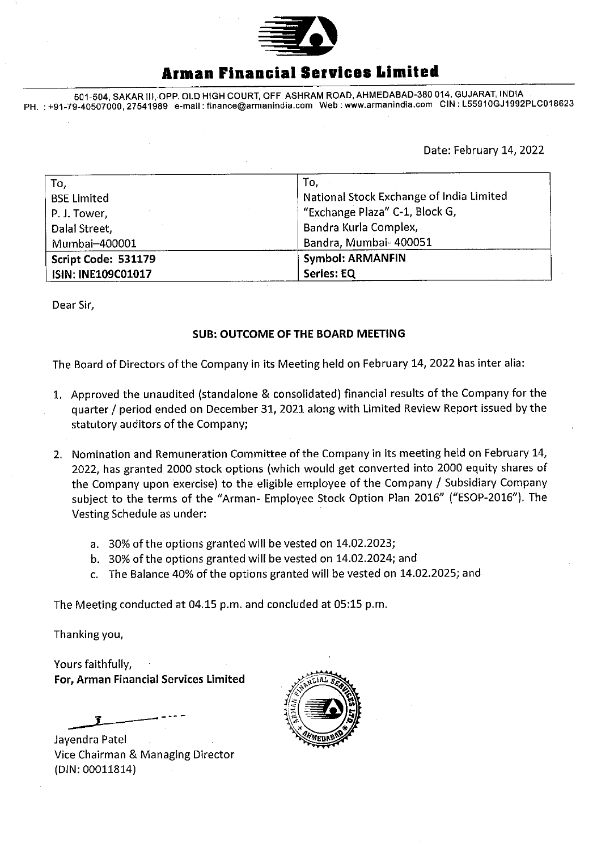

# **Armen Financial Services Limited**

501-504, SAKAR Ill, OPR OLD HIGH COURT, OFF ASHRAM ROAD, AHMEDABAD-380 014. GUJARAT, INDIA PH. :+91-79-40507000,27541989 e-mail: finance@armanindia.com Web: www.armanindia.com CIN : L55910GJ1992PLC018623

Date: February 14, 2022

| To,                       | To,                                      |
|---------------------------|------------------------------------------|
| <b>BSE Limited</b>        | National Stock Exchange of India Limited |
| P. J. Tower,              | "Exchange Plaza" C-1, Block G,           |
| Dalal Street,             | Bandra Kurla Complex,                    |
| Mumbai-400001             | Bandra, Mumbai- 400051                   |
| Script Code: 531179       | <b>Symbol: ARMANFIN</b>                  |
| <b>ISIN: INE109C01017</b> | <b>Series: EQ</b>                        |

Dear Sir,

## **SUB: OUTCOME OF THE BOARD MEETING**

The Board of Directors of the Company in its Meeting held on February 14, 2022 has inter alia:

- 1. Approved the unaudited (standalone & consolidated) financial results of the Company for the quarter / period ended on December 31, 2021 along with Limited Review Report issued by the statutory auditors of the Company;
- 2. Nomination and Remuneration Committee of the Company in its meeting held on February 14, 2022, has granted 2000 stock options (which would get converted into 2000 equity shares of the Company upon exercise) to the eligible employee of the Company / Subsidiary Company subject to the terms of the "Arman- Employee Stock Option Plan 2016" ("ESOP-2016"). The Vesting Schedule as under:
	- a. 30% of the options granted will be vested on 14.02.2023;
	- b. 30% of the options granted will be vested on 14.02.2024; and
	- c. The Balance 40% of the options granted will be vested on 14.02.2025; and

The Meeting conducted at 04.15 p.m. and concluded at 05:15 p.m.

Thanking you,

Yours faithfully, For, Arman Financial Services Limited

Jayendra Patel Vice Chairman & Managing Director (DIN: 00011814)

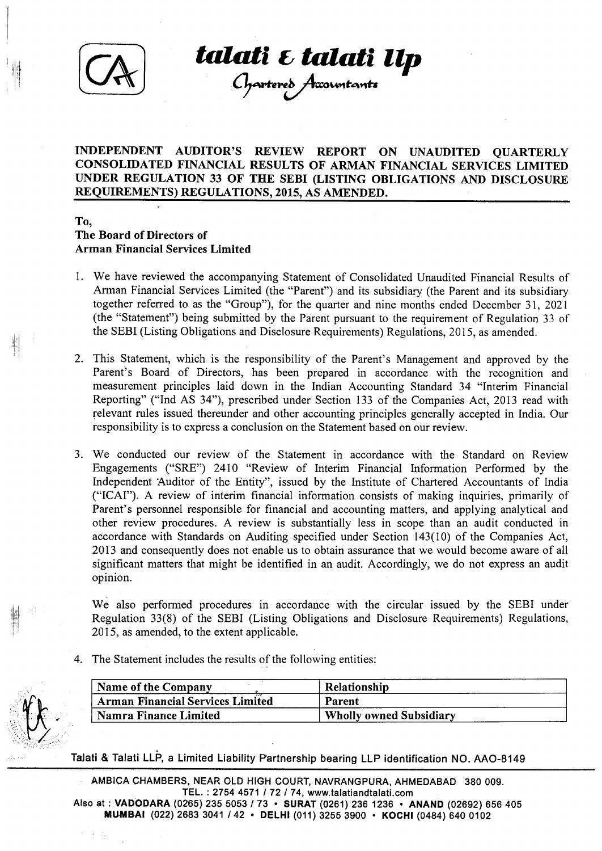

:il'l ! I

**talati** ~ **talati llp** 

 $\mathcal{L}$  partereo  $\mathcal{F}$ tacuntants $\blacksquare$ 

## INDEPENDENT AUDITOR'S REVIEW REPORT ON UNAUDITED QUARTERLY CONSOLIDATED FINANCIAL RESULTS OF ARMAN FINANCIAL SERVICES LIMITED UNDER REGULATION 33 OF THE SEBI (LISTING OBLIGATIONS AND DISCLOSURE REQUIREMENTS) REGULATIONS, 2015, AS AMENDED.

## To, The Board of Directors of Arman Financial Services Limited

- 1. We have reviewed the accompanying Statement of Consolidated Unaudited Financial Results of Arman Financial Services Limited (the "Parent") and its subsidiary (the Parent and its subsidiary together referred to as the "Group"), for the quarter and nine months ended December 31, 2021 (the "Statement") being submitted by the Parent pursuant to the requirement of Regulation 33 of the SEBI (Listing Obligations and Disclosure Requirements) Regulations, 2015, as amended.
- 2. This Statement, which is the responsibility of the Parent's Management and approved by the Parent's Board of Directors, has been prepared in accordance with the recognition and measurement principles laid down in the Indian Accounting Standard 34 "Interim Financial Reporting" ("Ind AS 34"), prescribed under Section 133 of the Companies Act, 2013 read with relevant rules issued thereunder and other accounting principles generally accepted in India. Our responsibility is to express a conclusion on the Statement based on our review.
- 3. We conducted our review of the Statement in accordance with the Standard on Review Engagements ("SRE") 2410 "Review of Interim Financial Information Performed by the Independent 'Auditor of the Entity", issued by the Institute of Chartered Accountants of India ("ICAI"). A review of interim financial information consists of making inquiries, primarily of Parent's personnel responsible for financial and accounting matters, and applying analytical and other review procedures. A review is substantially less in scope than an audit conducted in accordance with Standards on Auditing specified under Section 143(10) of the Companies Act, 2013 and consequently does not enable us to obtain assurance that we would become aware of all significant matters that might be identified in an audit. Accordingly, we do not express an audit opinion.

We also performed procedures in accordance with the circular issued by the SEBI under Regulation 33(8) of the SEBI (Listing Obligations and Disclosure Requirements) Regulations, 2015, as amended, to the extent applicable.

4. The Statement includes the results of the following entities:

子宫

| Name of the Company                     | Relationship                   |
|-----------------------------------------|--------------------------------|
| <b>Arman Financial Services Limited</b> | Parent                         |
| Namra Finance Limited                   | <b>Wholly owned Subsidiary</b> |

Talati & Talati LLP, a Limited Liability Partnership bearing LLP identification NO. AA0-8149

AMBICA CHAMBERS, NEAR OLD HIGH COURT, NAVRANGPURA, AHMEDABAD 380 009. TEL. : 2754 4571 I 72 I 74, www.talatiandtalati.com Also at : VADODARA (0265) 235 5053 I 73 • SURAT (0261) 236 1236 • ANAND (02692) 656 405 MUMBAI (022) 2683 3041 142 • DELHI (011) 3255 3900 • KOCHI (0484) 640 0102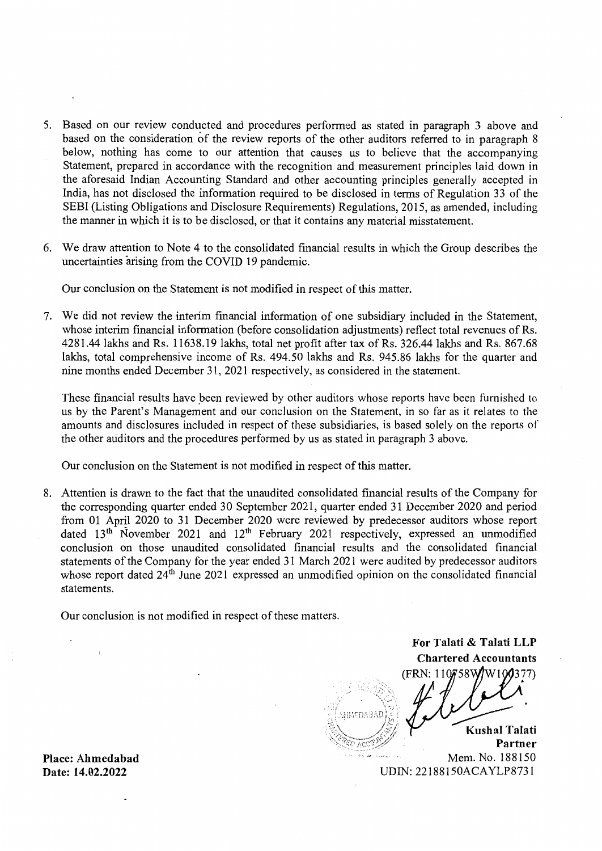- 5. Based on our review conducted and procedures performed as stated in paragraph 3 above and based on the consideration of the review reports of the other auditors referred to in paragraph 8 below, nothing has come to our attention that causes us to believe that the accompanying Statement, prepared in accordance with the recognition and measurement principles laid down in the aforesaid Indian Accounting Standard and other accounting principles generally accepted in India, has not disclosed the information required to be disclosed in terms of Regulation 33 of the SEBI (Listing Obligations and Disclosure Requirements) Regulations, 2015, as amended, including the manner in which it is to be disclosed, or that it contains any material misstatement.
- 6. We draw attention to Note 4 to the consolidated financial results in which the Group describes the uncertainties arising from the COVID 19 pandemic.

Our conclusion on the Statement is not modified in respect of this matter.

7. We did not review the interim financial information of one subsidiary included in the Statement, whose interim financial information (before consolidation adjustments) reflect total revenues of Rs. 4281.44 lakhs and Rs. 11638.19 lakhs, total net profit after tax of Rs. 326.44 lakhs and Rs. 867.68 lakhs, total comprehensive income of Rs. 494.50 lakhs and Rs. 945.86 lakhs for the quarter and nine months ended December 31, 2021 respectively, as considered in the statement.

These financial results have *peen* reviewed by other auditors whose reports have been furnished to us by the Parent's Management and our conclusion on the Statement, in so far as it relates to the amounts and disclosures included in respect of these subsidiaries, is based solely on the reports of the other auditors and the procedures performed by us as stated in paragraph 3 above.

Our conclusion on the Statement is not modified in respect of this matter.

8. Attention is drawn to the fact that the unaudited consolidated financial results of the Company for the corresponding quarter ended 30 September 2021, quarter ended 31 December 2020 and period from 01 April 2020 to 31 December 2020 were reviewed by predecessor auditors whose report dated  $13<sup>th</sup>$  November 2021 and  $12<sup>th</sup>$  February 2021 respectively, expressed an unmodified conclusion on those unaudited consolidated financial results and the consolidated financial statements of the Company for the year ended 31 March 2021 were audited by predecessor auditors whose report dated  $24<sup>th</sup>$  June 2021 expressed an unmodified opinion on the consolidated financial statements.

Our conclusion is not modified in respect of these matters.

**For Talati & Talati LLP Chartered Accountants**  (FRN: 110758V HMEDABAL **Kushal Talati**  $ACCD$ ) **Partner** 

Mem. No. 188150 UDIN: 22188150ACAYLP8731

**Place: Ahmedabad Date: 14.02.2022**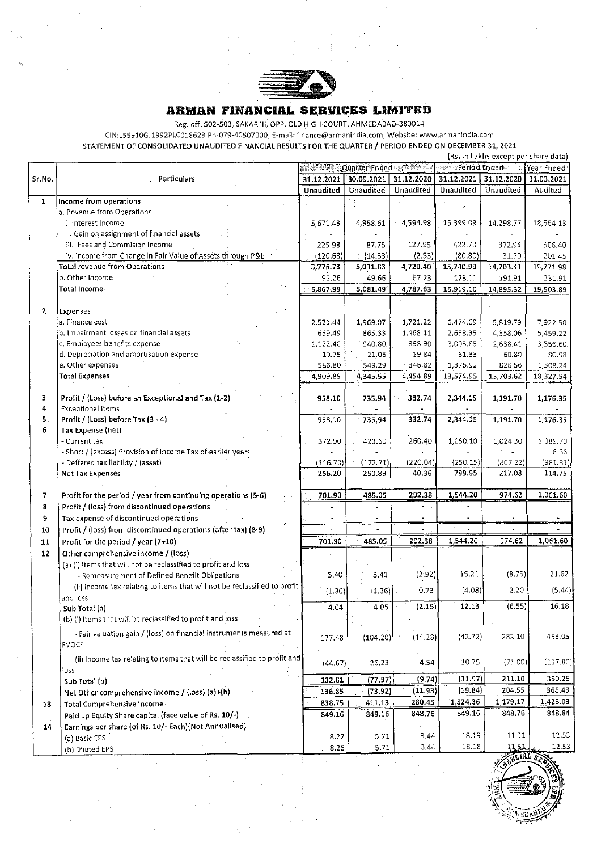

#### **ARMAN FINANCIAL SERVICES LIMITED**

Reg. off: 502-503, SAKAR III, OPP. OLD HIGH COURT, AHMEDABAD-380014

CIN:L55910GJ1992PLC018623 Ph-079-40507000; E-mail:finance@armanindia.com; Website: www.arrnanindia.com

STATEMENT OF CONSOLIDATED UNAUDITED FINANCIAL RESULTS FOR THE QUARTER / PERIOD ENDED ON DECEMBER 31, 2021

|                |                                                                           |                                             |            |                      |            | (Rs. In Lakhs except per share data) |            |
|----------------|---------------------------------------------------------------------------|---------------------------------------------|------------|----------------------|------------|--------------------------------------|------------|
|                |                                                                           | Quarter Ended<br>Period Ended<br>Year Ended |            |                      |            |                                      |            |
| Sr.No.         | Particulars                                                               | 31.12.2021                                  | 30.09.2021 | 31.12.2020           | 31.12.2021 | 31.12.2020                           | 31.03.2021 |
|                |                                                                           | Unaudited                                   | Unaudited  | Unaudited            | Unaudited  | Unaudited                            | Audited    |
| $\mathbf{1}$   | Income from operations                                                    |                                             |            |                      |            |                                      |            |
|                | a. Revenue from Operations                                                |                                             |            |                      |            |                                      |            |
|                | i. Interest Income                                                        | 5,671.43                                    | 4,958.61   | 4,594.98             | 15,399.09  | 14,298.77                            | 18,564.13  |
|                | ii. Gain on assignment of financial assets                                |                                             |            |                      |            |                                      |            |
|                | iii. Fees and Commision income                                            | 225.98                                      | 87.75      | 127.95               | 422.70     | 372.94                               | 506.40     |
|                | iv. Income from Change in Fair Value of Assets through P&L                | (120.68)                                    | (14.53)    | (2.53)               | (80.80)    | 31.70                                | 201.45     |
|                | <b>Total revenue from Operations</b>                                      | 5,776.73                                    | 5,031.83   | 4,720.40             | 15,740.99  | 14,703.41                            | 19,271.98  |
|                | b. Other Income                                                           | 91.26                                       | 49.66      | 67.23                | 178.11     | 191.91                               | 231.91     |
|                | Total Income                                                              | 5,867.99                                    | 5,081.49   | 4,787.63             | 15,919.10  | 14,895.32                            | 19,503.89  |
|                |                                                                           |                                             |            |                      |            |                                      |            |
| $\mathbf{2}$   | <b>Expenses</b>                                                           |                                             |            |                      |            |                                      |            |
|                | a. Finance cost                                                           |                                             |            |                      |            |                                      |            |
|                | b. Impairment losses on financial assets                                  | 2,521.44                                    | 1,969.07   | 1,721.22<br>1,468.11 | 6,474.69   | 5,819.79                             | 7,922.50   |
|                | c. Employees benefits expense                                             | 659.49                                      | 865.33     | 898.90               | 2,658.35   | 4,358.06                             | 5,459.22   |
|                |                                                                           | 1,122.40                                    | 940.80     |                      | 3,003.65   | 2,638.41                             | 3,556.60   |
|                | d. Depreciation and amortisation expense                                  | 19.75                                       | 21,06      | 19.84                | 61.33      | 60.80                                | 80.98      |
|                | e. Other expenses                                                         | 586.80                                      | 549.29     | 346.82               | 1,376.92   | 826.56                               | 1,308,24   |
|                | <b>Total Expenses</b>                                                     | 4,909.89                                    | 4,345.55   | 4,454.89             | 13,574.95  | 13,703.62                            | 18,327.54  |
|                |                                                                           |                                             |            |                      |            |                                      |            |
| з              | Profit / (Loss) before an Exceptional and Tax (1-2)                       | 958.10                                      | 735.94     | 332.74               | 2,344.15   | 1,191.70                             | 1,176.35   |
| 4              | <b>Exceptional Items</b>                                                  |                                             |            |                      |            |                                      |            |
| 5.             | Profit / (Loss) before Tax (3 - 4)                                        | 958.10                                      | 735.94     | 332.74               | 2,344.15   | 1,191.70                             | 1,176.35   |
| 6              | Tax Expense (net)                                                         |                                             |            |                      |            |                                      |            |
|                | - Current tax                                                             | 372.90                                      | 423.60     | 260.40               | 1,050.10   | 1,024.30                             | 1,089.70   |
|                | - Short / (excess) Provision of Income Tax of earlier years               |                                             |            |                      |            |                                      | 6.36       |
|                | - Deffered tax liability / (asset)                                        | (116.70)                                    | (172.71)   | (220.04)             | (250.15)   | (807.22)                             | (981.31)   |
|                | <b>Net Tax Expenses</b>                                                   | 256.20                                      | 250.89     | 40.36                | 799.95     | 217.08                               | 114.75     |
|                |                                                                           |                                             |            |                      |            |                                      |            |
| $\overline{z}$ | Profit for the period / year from continuing operations (5-6)             | 701.90                                      | 485.05     | 292.38               | 1,544.20   | 974.62                               | 1,061.60   |
| 8              | Profit / (loss) from discontinued operations                              |                                             |            |                      |            |                                      |            |
| 9              | Tax expense of discontinued operations-                                   |                                             |            |                      |            |                                      |            |
| 10             | Profit / (loss) from discontinued operations (after tax) (8-9)            |                                             |            | $\sim$               |            |                                      |            |
| 11             | Profit for the period / year (7+10)                                       | 701.90                                      | 485.05     | 292.38               | 1,544.20   | 974.62                               | 1,061.60   |
| 12             | Other comprehensive income / (loss)                                       |                                             |            |                      |            |                                      |            |
|                | (a) (i) Items that will not be reclassified to profit and loss            |                                             |            |                      |            |                                      |            |
|                | - Remeasurement of Defined Benefit Obligations                            | 5.40                                        | 5.41       | (2.92)               | 16.21      | (8.75)                               | 21.62      |
|                | (ii) Income tax relating to items that will not be reclassified to profit |                                             |            |                      |            |                                      |            |
|                | and loss                                                                  | (1.36)                                      | (1.36)     | 0.73                 | (4.08)     | 2.20                                 | (5.44)     |
|                | Sub Total (a)                                                             | 4.04                                        | 4.05       | (2.19)               | 12.13      | (6.55)                               | 16.18      |
|                | (b) (l) Items that will be reclassified to profit and loss                |                                             |            |                      |            |                                      |            |
|                |                                                                           |                                             |            |                      |            |                                      |            |
|                | - Fair valuation gain / (loss) on financial instruments measured at       | 177.48                                      | (104.20)   | (14.28)              | (42.72)    | 282.10                               | 468.05     |
|                | FVOCI                                                                     |                                             |            |                      |            |                                      |            |
|                | (ii) Income tax relating to items that will be reclassified to profit and |                                             |            |                      |            |                                      |            |
|                | loss                                                                      | (44.67)                                     | 26.23      | 4.54                 | 10.75      | (71.00)                              | (117.80)   |
|                | Sub Total (b)                                                             | 132.81                                      | (77.97)    | (9.74)               | (31.97)    | 211.10                               | 350.25     |
|                | Net Other comprehensive income / (loss) (a)+(b)                           | 136.85                                      | (73.92)    | (11.93)              | (19.84)    | 204.55                               | 366.43     |
|                |                                                                           | 838.75                                      | 411.13     | 280,45               | 1,524.36   | 1,179.17                             | 1,428.03   |
| 13             | Total Comprehensive Income-                                               |                                             | 849,16     | 848.76               | 849.16     | 848,76                               | 848.84     |
|                | Paid up Equity Share capital (face value of Rs. 10/-)                     | 849.16                                      |            |                      |            |                                      |            |
| 14             | Earnings per share (of Rs. 10/- Each)(Not Annualised)                     |                                             |            |                      |            |                                      |            |
|                | (a) Basic EPS                                                             | 8.27                                        | 5.71       | 3.44                 | 18.19      | 11.51                                | 12.53      |
|                | (b) Diluted EPS                                                           | 8.26                                        | 5.71       | 3,44                 | 18.18      | $1 - 51$                             | 12.53      |

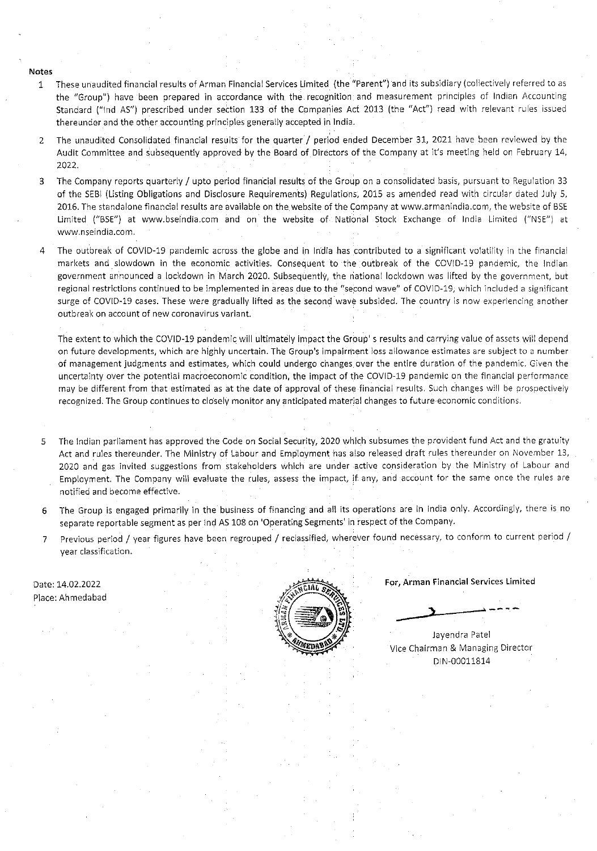Notes

- 1 These unaudited financial 'results of Arman Financial Services Limited (the "Parent") and its subsidiary (collectively referred to as the 'Group") have been prepared in accordance with the recognition and measurement principles of Indian Accounting Standard ("Ind AS") prescribed under section 133 of the Companies Act 2013 (the 'Act") read with relevant rules issued thereunder and the other accounting principles generally accepted in India.
- 2 The unaudited Consolidated financial results for the quarter / period ended December 31, 2021 have been reviewed by the Audit Committee and subsequently approved by the Board of Directors of the Company at it's meeting held on February 14, 2022.
- 3 The Company reports quarterly / upto period financial results of the Group on a consolidated basis, pursuant to Regulation 33 of the SEBl (Listing Obligations and Disclosure Requirements) Regulations, 2015 as amended read with circular dated July 5, 2016. The standalone financial results are available on the website of the Company at www.armanindia.com, the website of BSE Limited ("BSE") at www.bseindia.com and on the website of National Stock Exchange of India Limited ("NSE") at www.nseindia.com .
- 4 The outbreak of COVID-19 pandemic across the globe and in India has contributed to a significant volatility in the financial markets and slowdown in the economic activities. Consequent to the outbreak of the COVID-19 pandemic, the Indian government announced a Iockdown in March 2020. Subsequently, the national lockdown was lifted by the government, but regional restrictions continued to be implemented in areas due to the "second wave" of COVlo-19, which included a significant surge of COVID-19 cases. These were gradually lifted as the second wave subsided. The country is now experiencing another outbreak on account of new coronavirus variant.

The extent to which the COVID-19 pandemic will ultimately impact the Group' s results and carrying value of assets will depend on future developments, which are highly uncertain. The Group's impairment loss allowance estimates are subject to a number of management judgments and estimates, which could undergo changes over the entire duration of the pandemic. Given the uncertainty over the potential macroeconomic condition, the impact of the COVID-19 pandemic on the financial performance may be different from that estimated as at the date of approval of these financial results. Such changes will be prospectively recognized. The Group continues to closely monitor any anticipated material changes to future economic conditions.

- The Indian parliament has approved the Code on Social Security, 2020 which subsumes the provident fund Act and the gratuity 5 Act and rules thereunder. The Ministry of Labour and Employment has also released draft rules thereunder on November 13, 2020 and gas invited suggestions from stakeholders which are under active consideration by the Ministry of Labour and Employment. The Company will evaluate the rules, assess the impact, if any, and account for the same once the rules are notified and become effective.
- The Group is engaged primarily in the business of financing and all its operations are in India only. Accordingly, there is no 6 separate reportable segment as per Ind AS 108 on 'Operating Segments' in respect of the Company.
- Previous period / year figures have been regrouped / reclassified, wherever found necessary, to conform to current period /  $7<sup>1</sup>$ year classification.

Date: 14.02.2022 Place: Ahmedabad



For, Arman Financial Services Limited

Jayendra Patel Vice Chairman & Managing Director DIN-00011814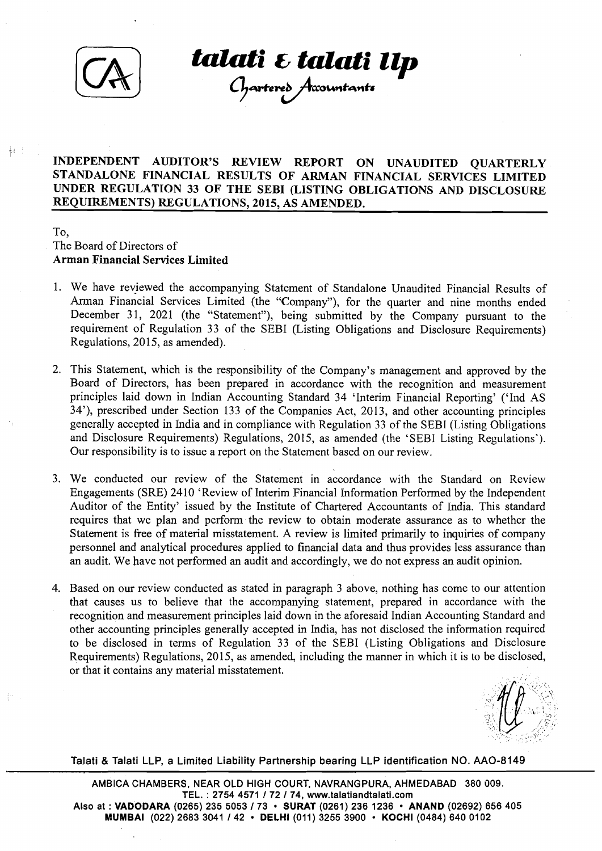

**talati E talati Up**<br>Chartere's Accountants

## <sup>I</sup>**INDEPENDENT AUDITOR'S REVIEW REPORT ON UNAUDITED QUARTERLY STANDALONE FINANCIAL RESULTS OF ARMAN FINANCIAL SERVICES LIMITED UNDER REGULATION 33 OF THE SEBI (LISTING OBLIGATIONS AND DISCLOSLIRE REQUIREMENTS) REGULATIONS, 2015, AS AMENDED.**

### To, The Board of Directors of **Arman Financial Services Limited**

- 1. We have reyiewed the accompanying Statement of Standalone Unaudited Financial Results of Arman Financial Services Limited (the "Company"), for the quarter and nine months ended December 31, 2021 (the "Statement"), being submitted by the Company pursuant to the requirement of Regulation 33 of the SEBI (Listing Obligations and Disclosure Requirements) Regulations, 2015, as amended).
- 2. This Statement, which is the responsibility of the Company's management and approved by the Board of Directors, has been prepared in accordance with the recognition and measurement principles laid down in Indian Accounting Standard 34 'Interim Financial Reporting' ('Ind AS 34'), prescribed under Section 133 of the Companies Act, 2013, and other accounting principles generally accepted in India and in compliance with Regulation 33 of the SEBI (Listing Obligations and Disclosure Requirements) Regulations, 2015, as amended (the 'SEBI Listing Regulations'). Our responsibility is to issue a report on the Statement based on our review.
- 3. We conducted our review of the Statement in accordance with the Standard on Review Engagements (SRE) 2410 'Review of Interim Financial Information Performed by the Independent Auditor of the Entity' issued by the Institute of Chartered Accountants of India. This standard requires that we plan and perform the review to obtain moderate assurance as to whether the Statement is free of material misstatement. A review is limited primarily to inquiries of company personnel and analytical procedures applied to financial data and thus provides less assurance than an audit. We have not performed an audit and accordingly, we do not express an audit opinion.
- 4. Based on our review conducted as stated in paragraph 3 above, nothing has come to our attention that causes us to believe that the accompanying statement, prepared in accordance with the recognition and measurement principles laid down in the aforesaid Indian Accounting Standard and other accounting principles generally accepted in India, has not disclosed the information required to be disclosed in terms of Regulation 33 of the SEBI (Listing Obligations and Disclosure Requirements) Regulations, 2015, as amended, including the manner in which it is to be disclosed, or that it contains any material misstatement.

Talati & Talati LLP, a Limited Liability Partnership bearing LLP identification NO. AAO-8149

AMBICA CHAMBERS, NEAR OLD HIGH COURT, NAVRANGPURA, AHMEDABAD 380 009. TEL. : 2754 4571 172 174, www.talatiandtalati.com Also at : **VADODARA** (0265) 235 5053 173 **SURAT** (0261) 236 1236 **ANAND** (02692) 656 405 **MUMBAI** (022) 2683 3041 142 **DELHl** (011) 3255 3900 **KOCHl** (0484) 640 0102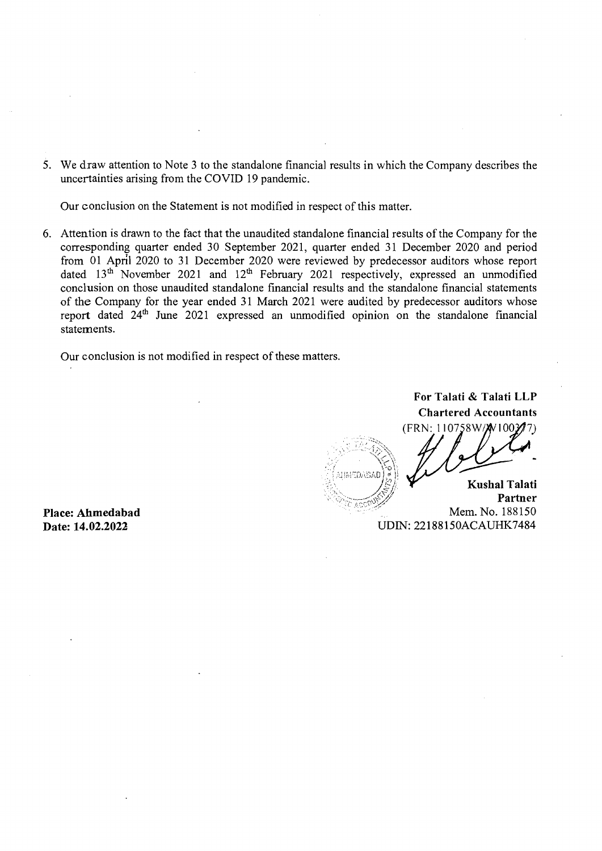5. We draw attention to Note 3 to the standalone financial results in which the Company describes the uncertainties arising from the COVID 19 pandemic.

Our conclusion on the Statement is not modified in respect of this matter.

6. Attention is drawn to the fact that the unaudited standalone financial results of the Company for the corresponding quarter ended 30 September 2021, quarter ended 31 December 2020 and period from 01 April 2020 to 31 December 2020 were reviewed by predecessor auditors whose report dated  $13<sup>th</sup>$  November 2021 and  $12<sup>th</sup>$  February 2021 respectively, expressed an unmodified conclusion on those unaudited standalone financial results and the standalone financial statements of the Company for the year ended 31 March 2021 were audited by predecessor auditors whose report dated  $24<sup>th</sup>$  June  $2021$  expressed an unmodified opinion on the standalone financial statements.

> , ..  $\frac{1}{2}$

Our conclusion is not modified in respect of these matters.

**For Talati** & **Talati LLP Chartered Accountants**  (FRN: 110758W/X0100377) . . .. , ... ..'.,>::, . \$,./ **-I**   $\mathcal{L}^{(1)}_{\mathcal{M}}$  ,  $\mathcal{L}^{(2)}_{\mathcal{M}}$  ,  $\mathcal{L}^{(3)}_{\mathcal{M}}$ . . \.;, **t,',**  \ < \~. \*:: i, . <sup>0</sup>\ ,:, , , . . , , .-:., ; :.'.; ::,:!.:,,.!;i,'?;fi,i] 1,s i! .., , **f** !>, ' ,. . . **/p** /'.. **Kushal Talati** 

 $\mathbb{R},\quad \mathbb{R}$  ,  $\mathbb{R}$ , . ,; :., .:-. *,4:~/;(* . )-. i,,-.-c\?:./y **Partner** .. Mem. No. 188 150 UDIN: 22 188 150ACAUHK7484

**Place: Ahmedabad Date: 14.02.2022**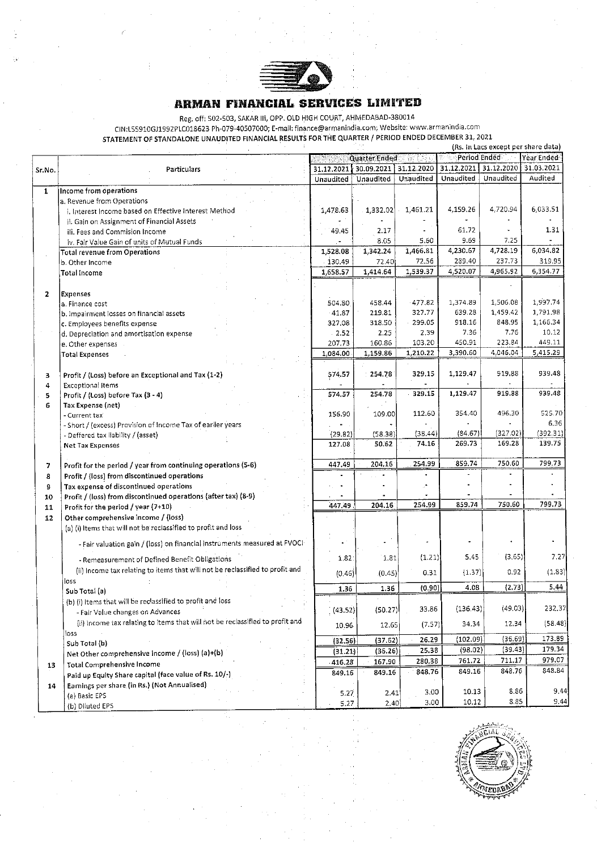

#### **ARMAP1 FDIANCIAI. SERVICES LIMITED**

|              | Reg. 011: 502-503, SAKAR III, OPP. OLD HIGH COOKT, AHRICDAGAD-30001+<br>CIN:L55910GJ1992PLC018623 Ph-079-40507000; E-mail: finance@armanindia.com; Website: www.armanindia.com |            |               |                       |            |                                     |            |
|--------------|--------------------------------------------------------------------------------------------------------------------------------------------------------------------------------|------------|---------------|-----------------------|------------|-------------------------------------|------------|
|              | STATEMENT OF STANDALONE UNAUDITED FINANCIAL RESULTS FOR THE QUARTER / PERIOD ENDED DECEMBER 31, 2021                                                                           |            |               |                       |            | (Rs. In Lacs except per share data) |            |
|              |                                                                                                                                                                                |            | Quarter Ended | 끊이 1.79               |            | Period Ended                        | Year Ended |
|              | Particulars                                                                                                                                                                    | 31.12.2021 |               | 30.09.2021 31.12.2020 | 31.12.2021 | 31.12.2020                          | 31.03.2021 |
| Sr.No.       |                                                                                                                                                                                | Unaudited  | Unaudited     | Unaudited             | Unaudited  | Unaudited                           | Audited    |
|              |                                                                                                                                                                                |            |               |                       |            |                                     |            |
| $\mathbf{1}$ | Income from operations                                                                                                                                                         |            |               |                       |            |                                     |            |
|              | a. Revenue from Operations                                                                                                                                                     | 1,478.63   | 1,332.02      | 1,461.21              | 4,159.26   | 4.720.94                            | 6,033.51   |
|              | i. Interest Income based on Effective Interest Method<br>ii. Gain on Assignment of Financial Assets                                                                            |            |               |                       |            |                                     |            |
|              | ili. Fees and Commision Income                                                                                                                                                 | 49.45      | 2.17          |                       | 61.72      |                                     | 1.31       |
|              | iv. Fair Value Gain of units of Mutual Funds                                                                                                                                   |            | 8.05          | 5.60                  | 9.69       | 7.25                                |            |
|              | <b>Total revenue from Operations</b>                                                                                                                                           | 1,528.08   | 1,342.24      | 1,466.81              | 4,230.67   | 4,728.19                            | 6,034.82   |
|              | b. Other Income                                                                                                                                                                | 130.49     | 72.40         | 72,56                 | 289.40     | 237.73                              | 319.95     |
|              | <b>Total Income</b>                                                                                                                                                            | 1,658.57   | 1,414.64      | 1.539.37              | 4,520.07   | 4.965.92                            | 6,354 77   |
|              |                                                                                                                                                                                |            |               |                       |            |                                     |            |
| $\mathbf{z}$ | Expenses                                                                                                                                                                       |            |               |                       |            |                                     |            |
|              | a. Finance cost                                                                                                                                                                | 504.80     | 458.44        | 477.82                | 1,374.89   | 1,506.08                            | 1,997.74   |
|              | b. Impairment losses on financial assets                                                                                                                                       | 41.87      | 219.81        | 327.77                | 639.28     | 1,459.42                            | 1,791.98   |
|              | c. Employees benefits expense                                                                                                                                                  | 327.08     | 318.50        | 299.05                | 918.16     | 848,95                              | 1,166.34   |
|              | d. Depreciation and amortisation expense                                                                                                                                       | 2.52       | 2.25          | 2.39                  | 7.36       | 7.76                                | 10.12      |
|              | e. Other expenses                                                                                                                                                              | 207.73     | 160.86        | 103.20                | 450.91     | 223.84                              | 449.11     |
|              | <b>Total Expenses</b>                                                                                                                                                          | 1,084,00   | 1,159.86      | 1,210.22              | 3,390.60   | 4,046.04                            | 5,415.29   |
|              |                                                                                                                                                                                |            |               |                       |            |                                     |            |
| з            | Profit / (Loss) before an Exceptional and Tax (1-2)                                                                                                                            | 574.57     | 254.78        | 329.15                | 1,129.47   | 919.88                              | 939.48     |
| 4            | <b>Exceptional Items</b>                                                                                                                                                       |            |               |                       |            |                                     |            |
| 5            | Profit / (Loss) before Tax (3 - 4)                                                                                                                                             | 574.57     | 254.78        | 329.15                | 1,129.47   | 919.88                              | 939.48     |
| 6            | Tax Expense (net)                                                                                                                                                              |            |               |                       |            |                                     |            |
|              | - Current tax                                                                                                                                                                  | 156.90     | 109.00        | 112.60                | 354,40     | 496,30                              | 525.70     |
|              | - Short / (excess) Provision of Income Tax of earlier years                                                                                                                    |            |               |                       |            |                                     | 6.36       |
|              | - Deffered tax liability / (asset)                                                                                                                                             | (29.82)    | (58.38)       | (38.44)               | (84.67)    | (327.02)                            | (392.31)   |
|              | <b>Net Tax Expenses</b>                                                                                                                                                        | 127.08     | 50.62         | 74.16                 | 269.73     | 169.28                              | 139.75     |
|              |                                                                                                                                                                                | 447.49     | 204.16        | 254.99                | 859.74     | 750.60                              | 799.73     |
| 7            | Profit for the period / year from continuing operations (5-6)                                                                                                                  |            |               |                       |            |                                     |            |
| 8            | Profit / (loss) from discontinued operations                                                                                                                                   |            |               |                       |            |                                     |            |
| 9            | Tax expense of discontinued operations<br>Profit / (loss) from discontinued operations (after tax) (8-9)                                                                       |            |               |                       |            |                                     |            |
| 10<br>11     | Profit for the period / year (7+10)                                                                                                                                            | 447.49     | 204.16        | 254.99                | 859.74     | 750.60                              | 799.73     |
| 12           | Other comprehensive income / (loss)                                                                                                                                            |            |               |                       |            |                                     |            |
|              | (a) (i) Items that will not be reclassified to profit and loss                                                                                                                 |            |               |                       |            |                                     |            |
|              |                                                                                                                                                                                |            |               |                       |            |                                     |            |
|              | - Fair valuation gain / (loss) on financial instruments measured at FVOCI-                                                                                                     |            |               |                       |            |                                     |            |
|              | - Remeasurement of Defined Benefit Obligations                                                                                                                                 | 1.82       | 1,81          | (1.21)                | 5.45       | (3.65)                              | 7.27       |
|              | (ii) Income tax relating to items that will not be reclassified to profit and                                                                                                  |            |               | 0.31                  | (1.37)     | 0.92                                | (1.83)     |
|              | OSS                                                                                                                                                                            | (0.46)     | (0.45)        |                       |            |                                     |            |
|              | Sub Total (a)                                                                                                                                                                  | 1.36       | 1.36          | (0.90)                | 4.08       | (2.73)                              | 5,44       |
|              | (b) (i) Items that will be reclassified to profit and loss<br>P.                                                                                                               |            |               |                       |            |                                     |            |
|              | - Fair Value changes on Advances                                                                                                                                               | (43.52)    | (50.27)       | 33.86                 | (136.43)   | (49.03)                             | 232.37     |
|              | (ii) Income tax relating to items that will not be reclassified to profit and                                                                                                  | 10.96      | 12.65         | (7.57)                | 34.34      | 12.34                               | (58.48)    |
|              | loss                                                                                                                                                                           |            |               |                       |            |                                     |            |
|              | Sub Total (b)                                                                                                                                                                  | (32.56)    | (37.62)       | 26.29                 | (102.09)   | (36.69)                             | 173.89     |
|              | Net Other comprehensive income / (loss) (a)+(b)                                                                                                                                | (31.21)    | (36.26)       | 25.38                 | (98.02)    | (39.43)                             | 179,34     |
| 13           | Total Comprehensive Income                                                                                                                                                     | 416.28     | 167.90        | 280.38                | 761.72     | 711.17                              | 979.07     |
|              | Paid up Equity Share capital (face value of Rs. 10/-)                                                                                                                          | 849.16     | 849.16        | 848.76                | 849.16     | 848.76                              | 848.84     |
| 14           | Earnings per share (in Rs.) (Not Annualised)                                                                                                                                   |            |               |                       |            |                                     |            |
|              | (a) Basic EPS                                                                                                                                                                  | 5.27       | 2.41          | 3.00                  | 10.13      | 8.86                                | 9.44       |
|              | (b) Diluted EPS                                                                                                                                                                | 5.27       | 2.40          | 3.00                  | 10.12      | 8.85                                | 9.44       |